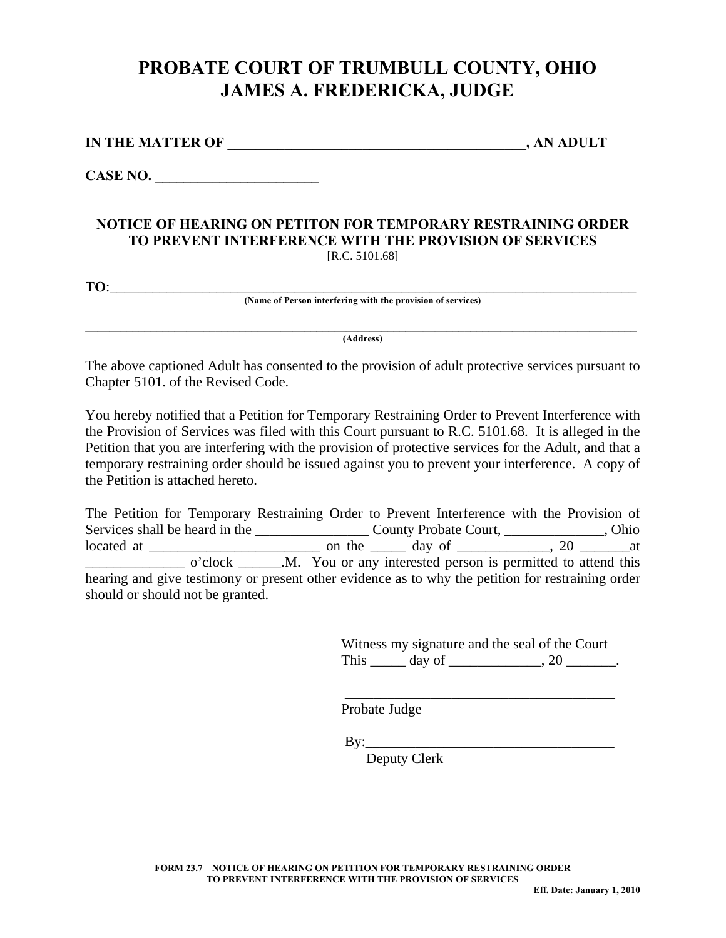## **PROBATE COURT OF TRUMBULL COUNTY, OHIO JAMES A. FREDERICKA, JUDGE**

| <b>IN THE MATTER OF</b> | , AN ADULT |
|-------------------------|------------|
|                         |            |

**CASE NO. \_\_\_\_\_\_\_\_\_\_\_\_\_\_\_\_\_\_\_\_\_\_\_** 

## **NOTICE OF HEARING ON PETITON FOR TEMPORARY RESTRAINING ORDER TO PREVENT INTERFERENCE WITH THE PROVISION OF SERVICES**  [R.C. 5101.68]

**TO:** 

**(Name of Person interfering with the provision of services)** 

\_\_\_\_\_\_\_\_\_\_\_\_\_\_\_\_\_\_\_\_\_\_\_\_\_\_\_\_\_\_\_\_\_\_\_\_\_\_\_\_\_\_\_\_\_\_\_\_\_\_\_\_\_\_\_\_\_\_\_\_\_\_\_\_\_\_\_\_\_\_\_\_\_\_\_\_\_\_\_\_\_\_\_\_\_\_\_\_\_\_\_\_\_ **(Address)** 

The above captioned Adult has consented to the provision of adult protective services pursuant to Chapter 5101. of the Revised Code.

You hereby notified that a Petition for Temporary Restraining Order to Prevent Interference with the Provision of Services was filed with this Court pursuant to R.C. 5101.68. It is alleged in the Petition that you are interfering with the provision of protective services for the Adult, and that a temporary restraining order should be issued against you to prevent your interference. A copy of the Petition is attached hereto.

The Petition for Temporary Restraining Order to Prevent Interference with the Provision of Services shall be heard in the \_\_\_\_\_\_\_\_\_\_\_\_\_\_\_\_ County Probate Court, \_\_\_\_\_\_\_\_\_\_\_\_\_\_, Ohio located at \_\_\_\_\_\_\_\_\_\_\_\_\_\_\_\_\_\_\_\_\_\_\_\_ on the \_\_\_\_\_ day of \_\_\_\_\_\_\_\_\_\_\_\_\_, 20 \_\_\_\_\_\_\_at \_\_\_\_\_\_\_\_\_\_\_\_\_\_ o'clock \_\_\_\_\_\_.M. You or any interested person is permitted to attend this hearing and give testimony or present other evidence as to why the petition for restraining order should or should not be granted.

> Witness my signature and the seal of the Court This  $\rule{1em}{0.15mm}$  day of  $\rule{1em}{0.15mm}$ , 20  $\rule{1em}{0.15mm}$ .

> \_\_\_\_\_\_\_\_\_\_\_\_\_\_\_\_\_\_\_\_\_\_\_\_\_\_\_\_\_\_\_\_\_\_\_\_\_\_

Probate Judge

 $By:$ 

Deputy Clerk